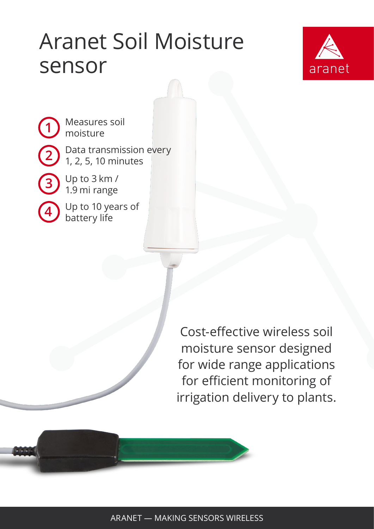## Aranet Soil Moisture sensor



Measures soil moisture Data transmission every

1, 2, 5, 10 minutes

Up to 3 km / 1.9 mi range

**1**

**2**

**3**

**4**

Up to 10 years of battery life

> Cost-effective wireless soil moisture sensor designed for wide range applications for efficient monitoring of irrigation delivery to plants.